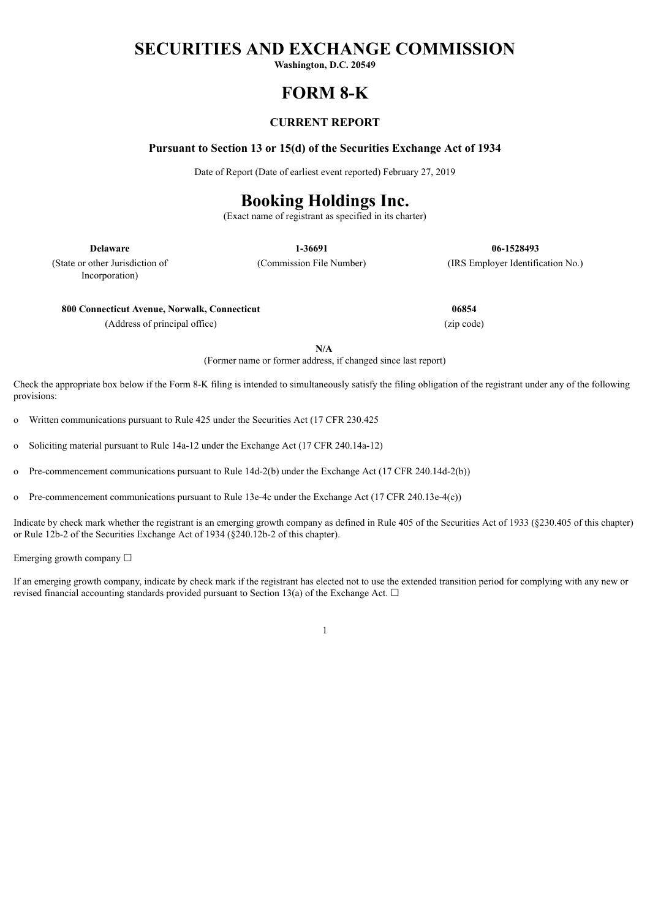# **SECURITIES AND EXCHANGE COMMISSION**

**Washington, D.C. 20549**

# **FORM 8-K**

# **CURRENT REPORT**

## **Pursuant to Section 13 or 15(d) of the Securities Exchange Act of 1934**

Date of Report (Date of earliest event reported) February 27, 2019

# **Booking Holdings Inc.**

(Exact name of registrant as specified in its charter)

**Delaware 1-36691 06-1528493**

(State or other Jurisdiction of Incorporation)

(Commission File Number) (IRS Employer Identification No.)

**800 Connecticut Avenue, Norwalk, Connecticut 06854**

(Address of principal office) (zip code)

**N/A**

(Former name or former address, if changed since last report)

Check the appropriate box below if the Form 8-K filing is intended to simultaneously satisfy the filing obligation of the registrant under any of the following provisions:

o Written communications pursuant to Rule 425 under the Securities Act (17 CFR 230.425

o Soliciting material pursuant to Rule 14a-12 under the Exchange Act (17 CFR 240.14a-12)

o Pre-commencement communications pursuant to Rule 14d-2(b) under the Exchange Act (17 CFR 240.14d-2(b))

o Pre-commencement communications pursuant to Rule 13e-4c under the Exchange Act (17 CFR 240.13e-4(c))

Indicate by check mark whether the registrant is an emerging growth company as defined in Rule 405 of the Securities Act of 1933 (§230.405 of this chapter) or Rule 12b-2 of the Securities Exchange Act of 1934 (§240.12b-2 of this chapter).

Emerging growth company ☐

If an emerging growth company, indicate by check mark if the registrant has elected not to use the extended transition period for complying with any new or revised financial accounting standards provided pursuant to Section 13(a) of the Exchange Act.  $\Box$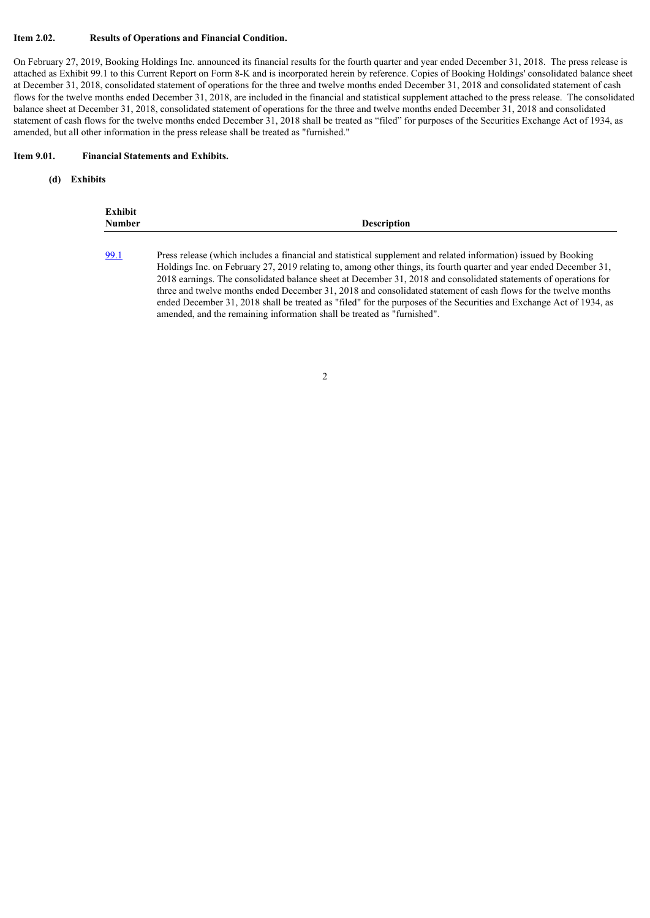#### **Item 2.02. Results of Operations and Financial Condition.**

On February 27, 2019, Booking Holdings Inc. announced its financial results for the fourth quarter and year ended December 31, 2018. The press release is attached as Exhibit 99.1 to this Current Report on Form 8-K and is incorporated herein by reference. Copies of Booking Holdings' consolidated balance sheet at December 31, 2018, consolidated statement of operations for the three and twelve months ended December 31, 2018 and consolidated statement of cash flows for the twelve months ended December 31, 2018, are included in the financial and statistical supplement attached to the press release. The consolidated balance sheet at December 31, 2018, consolidated statement of operations for the three and twelve months ended December 31, 2018 and consolidated statement of cash flows for the twelve months ended December 31, 2018 shall be treated as "filed" for purposes of the Securities Exchange Act of 1934, as amended, but all other information in the press release shall be treated as "furnished."

#### **Item 9.01. Financial Statements and Exhibits.**

#### **(d) Exhibits**

| Exhibit<br><b>Number</b> |  |  |  |  | <b>Description</b> |  |  |  |  |  |  |  |  |  |  |  |  |  |  |  |
|--------------------------|--|--|--|--|--------------------|--|--|--|--|--|--|--|--|--|--|--|--|--|--|--|
|                          |  |  |  |  |                    |  |  |  |  |  |  |  |  |  |  |  |  |  |  |  |

[<sup>99.1</sup>](#page-4-0) Press release (which includes a financial and statistical supplement and related information) issued by Booking Holdings Inc. on February 27, 2019 relating to, among other things, its fourth quarter and year ended December 31, 2018 earnings. The consolidated balance sheet at December 31, 2018 and consolidated statements of operations for three and twelve months ended December 31, 2018 and consolidated statement of cash flows for the twelve months ended December 31, 2018 shall be treated as "filed" for the purposes of the Securities and Exchange Act of 1934, as amended, and the remaining information shall be treated as "furnished".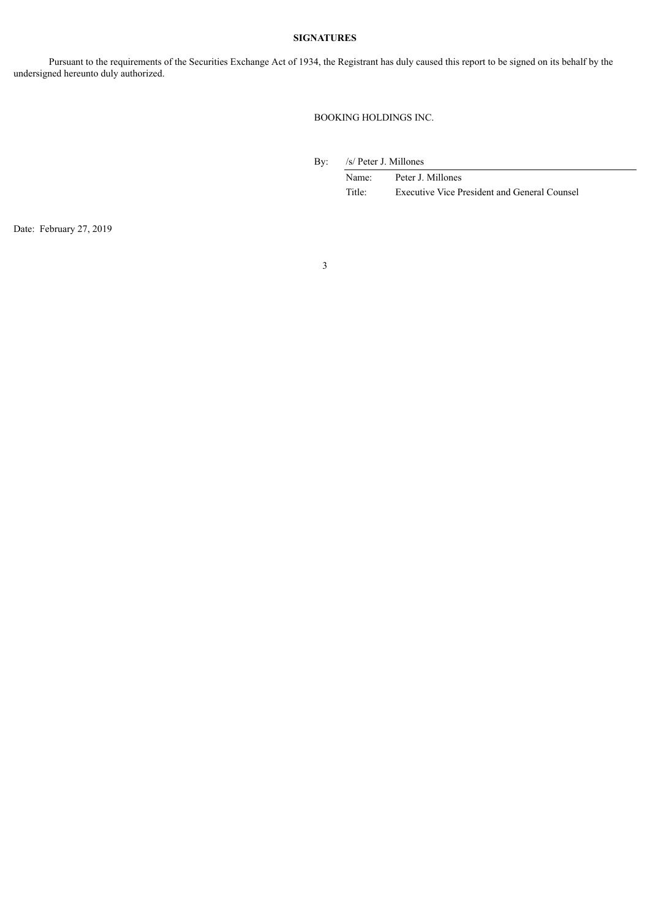## **SIGNATURES**

Pursuant to the requirements of the Securities Exchange Act of 1934, the Registrant has duly caused this report to be signed on its behalf by the undersigned hereunto duly authorized.

BOOKING HOLDINGS INC.

By: /s/ Peter J. Millones

Name: Peter J. Millones Title: Executive Vice President and General Counsel

Date: February 27, 2019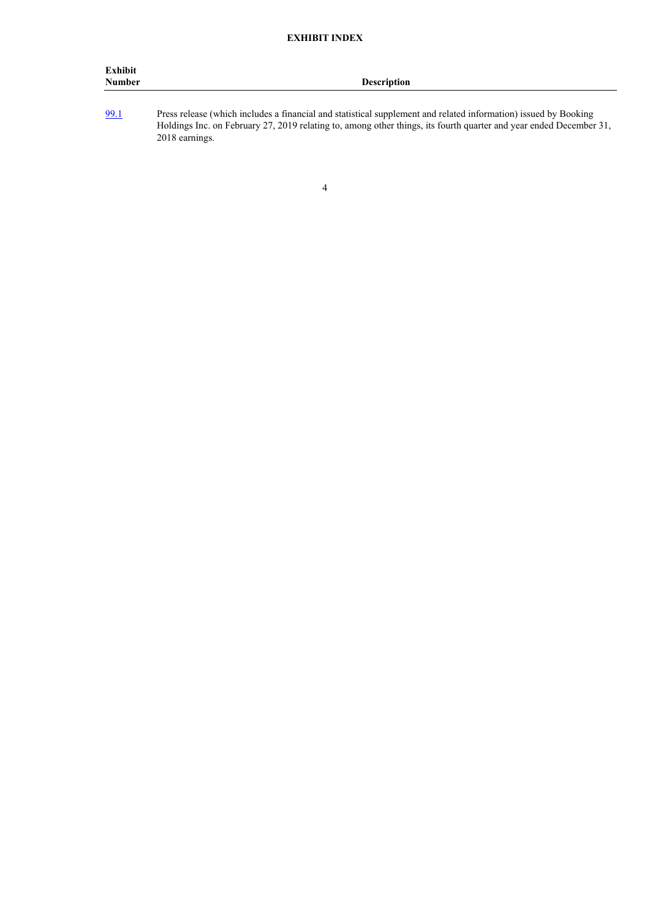| Exhibit<br>Number | Description |
|-------------------|-------------|
|                   |             |

[99.1](#page-4-0) Press release (which includes a financial and statistical supplement and related information) issued by Booking Holdings Inc. on February 27, 2019 relating to, among other things, its fourth quarter and year ended December 31, 2018 earnings.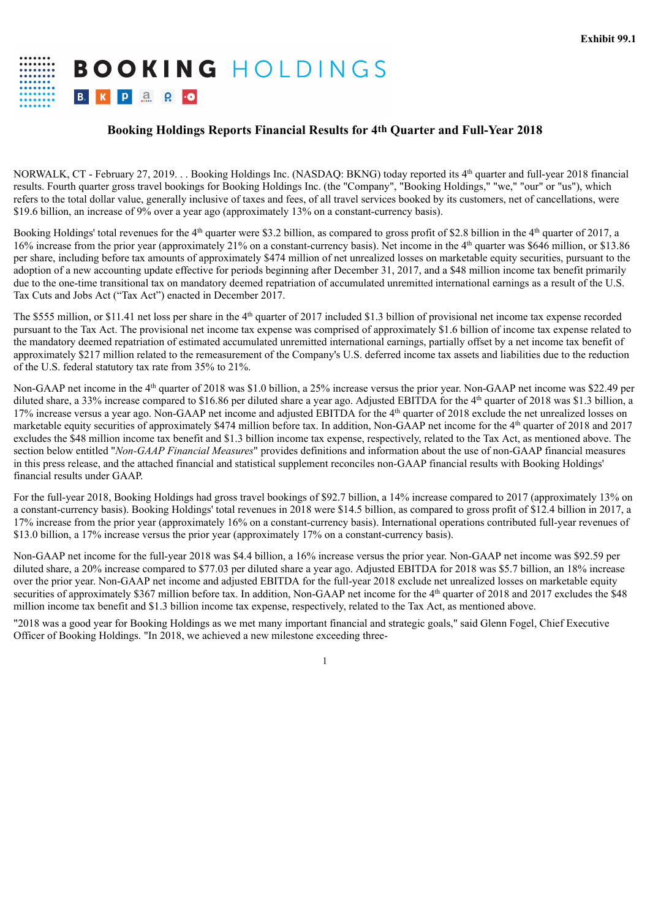<span id="page-4-0"></span>**BOOKING HOLDINGS** B. K P 3 Q 0

# **Booking Holdings Reports Financial Results for 4th Quarter and Full-Year 2018**

NORWALK, CT - February 27, 2019. . . Booking Holdings Inc. (NASDAQ: BKNG) today reported its 4<sup>th</sup> quarter and full-year 2018 financial results. Fourth quarter gross travel bookings for Booking Holdings Inc. (the "Company", "Booking Holdings," "we," "our" or "us"), which refers to the total dollar value, generally inclusive of taxes and fees, of all travel services booked by its customers, net of cancellations, were \$19.6 billion, an increase of 9% over a year ago (approximately 13% on a constant-currency basis).

Booking Holdings' total revenues for the  $4<sup>th</sup>$  quarter were \$3.2 billion, as compared to gross profit of \$2.8 billion in the  $4<sup>th</sup>$  quarter of 2017, a 16% increase from the prior year (approximately 21% on a constant-currency basis). Net income in the 4 th quarter was \$646 million, or \$13.86 per share, including before tax amounts of approximately \$474 million of net unrealized losses on marketable equity securities, pursuant to the adoption of a new accounting update effective for periods beginning after December 31, 2017, and a \$48 million income tax benefit primarily due to the one-time transitional tax on mandatory deemed repatriation of accumulated unremitted international earnings as a result of the U.S. Tax Cuts and Jobs Act ("Tax Act") enacted in December 2017.

The \$555 million, or \$11.41 net loss per share in the  $4<sup>th</sup>$  quarter of 2017 included \$1.3 billion of provisional net income tax expense recorded pursuant to the Tax Act. The provisional net income tax expense was comprised of approximately \$1.6 billion of income tax expense related to the mandatory deemed repatriation of estimated accumulated unremitted international earnings, partially offset by a net income tax benefit of approximately \$217 million related to the remeasurement of the Company's U.S. deferred income tax assets and liabilities due to the reduction of the U.S. federal statutory tax rate from 35% to 21%.

Non-GAAP net income in the 4<sup>th</sup> quarter of 2018 was \$1.0 billion, a 25% increase versus the prior year. Non-GAAP net income was \$22.49 per diluted share, a 33% increase compared to \$16.86 per diluted share a year ago. Adjusted EBITDA for the 4<sup>th</sup> quarter of 2018 was \$1.3 billion, a 17% increase versus a year ago. Non-GAAP net income and adjusted EBITDA for the 4<sup>th</sup> quarter of 2018 exclude the net unrealized losses on marketable equity securities of approximately \$474 million before tax. In addition, Non-GAAP net income for the 4<sup>th</sup> quarter of 2018 and 2017 excludes the \$48 million income tax benefit and \$1.3 billion income tax expense, respectively, related to the Tax Act, as mentioned above. The section below entitled "*Non-GAAP Financial Measures*" provides definitions and information about the use of non-GAAP financial measures in this press release, and the attached financial and statistical supplement reconciles non-GAAP financial results with Booking Holdings' financial results under GAAP.

For the full-year 2018, Booking Holdings had gross travel bookings of \$92.7 billion, a 14% increase compared to 2017 (approximately 13% on a constant-currency basis). Booking Holdings' total revenues in 2018 were \$14.5 billion, as compared to gross profit of \$12.4 billion in 2017, a 17% increase from the prior year (approximately 16% on a constant-currency basis). International operations contributed full-year revenues of \$13.0 billion, a 17% increase versus the prior year (approximately 17% on a constant-currency basis).

Non-GAAP net income for the full-year 2018 was \$4.4 billion, a 16% increase versus the prior year. Non-GAAP net income was \$92.59 per diluted share, a 20% increase compared to \$77.03 per diluted share a year ago. Adjusted EBITDA for 2018 was \$5.7 billion, an 18% increase over the prior year. Non-GAAP net income and adjusted EBITDA for the full-year 2018 exclude net unrealized losses on marketable equity securities of approximately \$367 million before tax. In addition, Non-GAAP net income for the 4<sup>th</sup> quarter of 2018 and 2017 excludes the \$48 million income tax benefit and \$1.3 billion income tax expense, respectively, related to the Tax Act, as mentioned above.

"2018 was a good year for Booking Holdings as we met many important financial and strategic goals," said Glenn Fogel, Chief Executive Officer of Booking Holdings. "In 2018, we achieved a new milestone exceeding three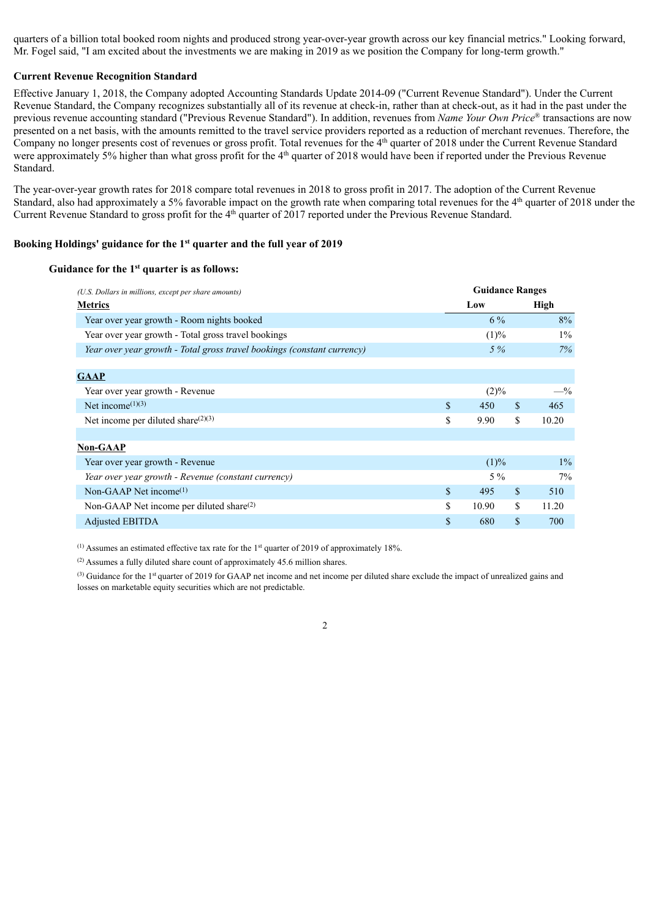quarters of a billion total booked room nights and produced strong year-over-year growth across our key financial metrics." Looking forward, Mr. Fogel said, "I am excited about the investments we are making in 2019 as we position the Company for long-term growth."

### **Current Revenue Recognition Standard**

Effective January 1, 2018, the Company adopted Accounting Standards Update 2014-09 ("Current Revenue Standard"). Under the Current Revenue Standard, the Company recognizes substantially all of its revenue at check-in, rather than at check-out, as it had in the past under the previous revenue accounting standard ("Previous Revenue Standard"). In addition, revenues from *Name Your Own Price*® transactions are now presented on a net basis, with the amounts remitted to the travel service providers reported as a reduction of merchant revenues. Therefore, the Company no longer presents cost of revenues or gross profit. Total revenues for the 4<sup>th</sup> quarter of 2018 under the Current Revenue Standard were approximately 5% higher than what gross profit for the 4<sup>th</sup> quarter of 2018 would have been if reported under the Previous Revenue Standard.

The year-over-year growth rates for 2018 compare total revenues in 2018 to gross profit in 2017. The adoption of the Current Revenue Standard, also had approximately a 5% favorable impact on the growth rate when comparing total revenues for the  $4<sup>th</sup>$  quarter of 2018 under the Current Revenue Standard to gross profit for the 4<sup>th</sup> quarter of 2017 reported under the Previous Revenue Standard.

## **Booking Holdings' guidance for the 1 st quarter and the full year of 2019**

#### **Guidance for the 1 st quarter is as follows:**

| (U.S. Dollars in millions, except per share amounts)                    | <b>Guidance Ranges</b> |         |    |       |  |  |  |
|-------------------------------------------------------------------------|------------------------|---------|----|-------|--|--|--|
| <b>Metrics</b>                                                          |                        | Low     |    | High  |  |  |  |
| Year over year growth - Room nights booked                              |                        | $6\%$   |    | 8%    |  |  |  |
| Year over year growth - Total gross travel bookings                     |                        | $(1)\%$ |    | $1\%$ |  |  |  |
| Year over year growth - Total gross travel bookings (constant currency) |                        | 5%      |    | 7%    |  |  |  |
|                                                                         |                        |         |    |       |  |  |  |
| <b>GAAP</b>                                                             |                        |         |    |       |  |  |  |
| Year over year growth - Revenue                                         |                        | $(2)\%$ |    | $-$ % |  |  |  |
| Net income <sup><math>(1)(3)</math></sup>                               | \$                     | 450     | \$ | 465   |  |  |  |
| Net income per diluted share $(2)(3)$                                   | \$                     | 9.90    | \$ | 10.20 |  |  |  |
|                                                                         |                        |         |    |       |  |  |  |
| <b>Non-GAAP</b>                                                         |                        |         |    |       |  |  |  |
| Year over year growth - Revenue                                         |                        | $(1)\%$ |    | $1\%$ |  |  |  |
| Year over year growth - Revenue (constant currency)                     |                        | $5\%$   |    | 7%    |  |  |  |
| Non-GAAP Net income $(1)$                                               | \$                     | 495     | \$ | 510   |  |  |  |
| Non-GAAP Net income per diluted share $(2)$                             | \$                     | 10.90   | \$ | 11.20 |  |  |  |
| <b>Adjusted EBITDA</b>                                                  | \$                     | 680     | \$ | 700   |  |  |  |

 $(1)$  Assumes an estimated effective tax rate for the 1<sup>st</sup> quarter of 2019 of approximately 18%.

(2) Assumes a fully diluted share count of approximately 45.6 million shares.

<sup>(3)</sup> Guidance for the 1<sup>st</sup> quarter of 2019 for GAAP net income and net income per diluted share exclude the impact of unrealized gains and losses on marketable equity securities which are not predictable.

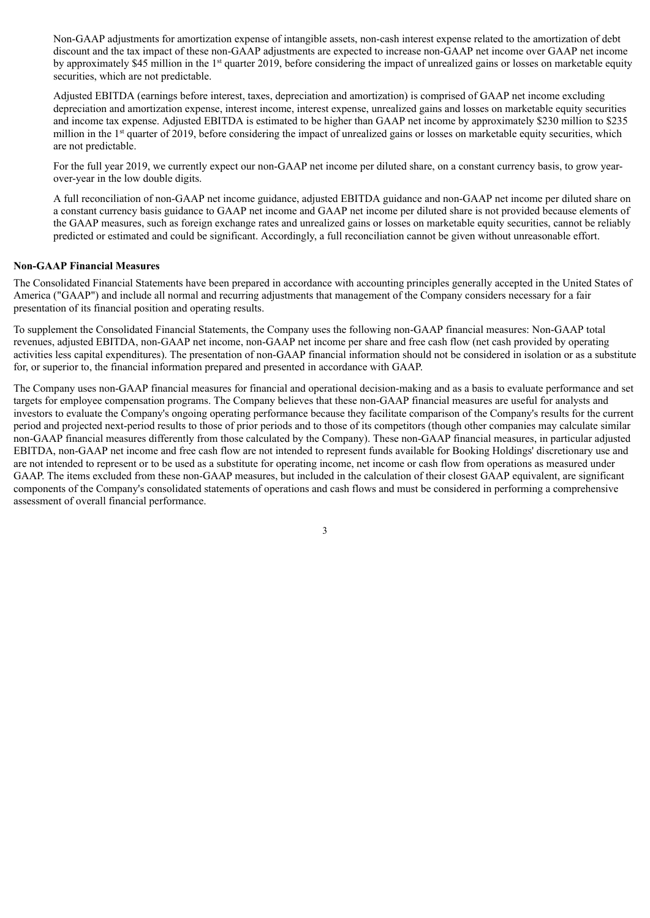Non-GAAP adjustments for amortization expense of intangible assets, non-cash interest expense related to the amortization of debt discount and the tax impact of these non-GAAP adjustments are expected to increase non-GAAP net income over GAAP net income by approximately \$45 million in the 1<sup>st</sup> quarter 2019, before considering the impact of unrealized gains or losses on marketable equity securities, which are not predictable.

Adjusted EBITDA (earnings before interest, taxes, depreciation and amortization) is comprised of GAAP net income excluding depreciation and amortization expense, interest income, interest expense, unrealized gains and losses on marketable equity securities and income tax expense. Adjusted EBITDA is estimated to be higher than GAAP net income by approximately \$230 million to \$235 million in the 1<sup>st</sup> quarter of 2019, before considering the impact of unrealized gains or losses on marketable equity securities, which are not predictable.

For the full year 2019, we currently expect our non-GAAP net income per diluted share, on a constant currency basis, to grow yearover-year in the low double digits.

A full reconciliation of non-GAAP net income guidance, adjusted EBITDA guidance and non-GAAP net income per diluted share on a constant currency basis guidance to GAAP net income and GAAP net income per diluted share is not provided because elements of the GAAP measures, such as foreign exchange rates and unrealized gains or losses on marketable equity securities, cannot be reliably predicted or estimated and could be significant. Accordingly, a full reconciliation cannot be given without unreasonable effort.

### **Non-GAAP Financial Measures**

The Consolidated Financial Statements have been prepared in accordance with accounting principles generally accepted in the United States of America ("GAAP") and include all normal and recurring adjustments that management of the Company considers necessary for a fair presentation of its financial position and operating results.

To supplement the Consolidated Financial Statements, the Company uses the following non-GAAP financial measures: Non-GAAP total revenues, adjusted EBITDA, non-GAAP net income, non-GAAP net income per share and free cash flow (net cash provided by operating activities less capital expenditures). The presentation of non-GAAP financial information should not be considered in isolation or as a substitute for, or superior to, the financial information prepared and presented in accordance with GAAP.

The Company uses non-GAAP financial measures for financial and operational decision-making and as a basis to evaluate performance and set targets for employee compensation programs. The Company believes that these non-GAAP financial measures are useful for analysts and investors to evaluate the Company's ongoing operating performance because they facilitate comparison of the Company's results for the current period and projected next-period results to those of prior periods and to those of its competitors (though other companies may calculate similar non-GAAP financial measures differently from those calculated by the Company). These non-GAAP financial measures, in particular adjusted EBITDA, non-GAAP net income and free cash flow are not intended to represent funds available for Booking Holdings' discretionary use and are not intended to represent or to be used as a substitute for operating income, net income or cash flow from operations as measured under GAAP. The items excluded from these non-GAAP measures, but included in the calculation of their closest GAAP equivalent, are significant components of the Company's consolidated statements of operations and cash flows and must be considered in performing a comprehensive assessment of overall financial performance.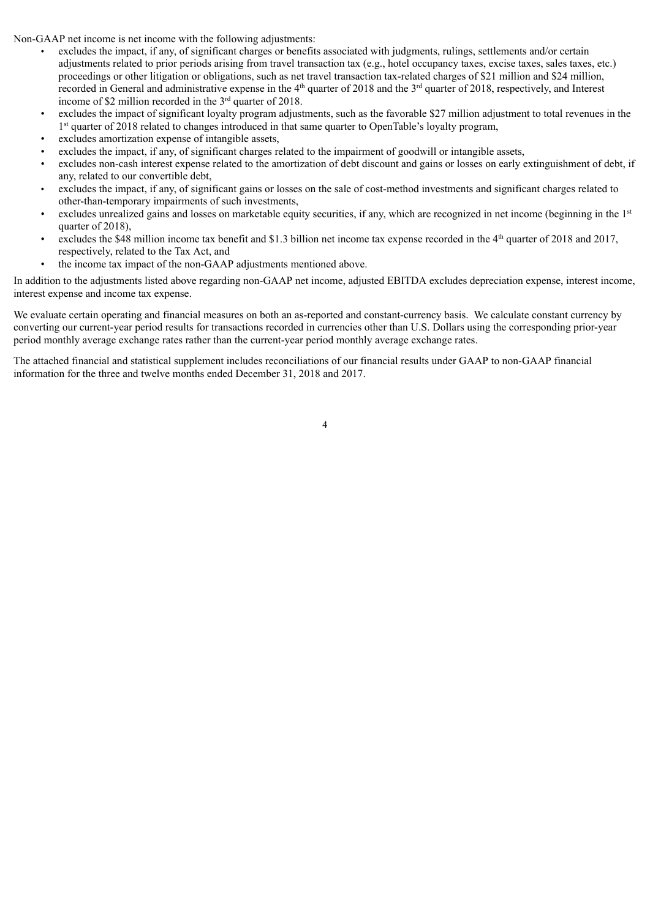Non-GAAP net income is net income with the following adjustments:

- excludes the impact, if any, of significant charges or benefits associated with judgments, rulings, settlements and/or certain adjustments related to prior periods arising from travel transaction tax (e.g., hotel occupancy taxes, excise taxes, sales taxes, etc.) proceedings or other litigation or obligations, such as net travel transaction tax-related charges of \$21 million and \$24 million, recorded in General and administrative expense in the  $4<sup>th</sup>$  quarter of 2018 and the  $3<sup>rd</sup>$  quarter of 2018, respectively, and Interest income of \$2 million recorded in the  $3<sup>rd</sup>$  quarter of 2018.
- excludes the impact of significant loyalty program adjustments, such as the favorable \$27 million adjustment to total revenues in the 1<sup>st</sup> quarter of 2018 related to changes introduced in that same quarter to OpenTable's loyalty program,
- excludes amortization expense of intangible assets,
- excludes the impact, if any, of significant charges related to the impairment of goodwill or intangible assets,
- excludes non-cash interest expense related to the amortization of debt discount and gains or losses on early extinguishment of debt, if any, related to our convertible debt,
- excludes the impact, if any, of significant gains or losses on the sale of cost-method investments and significant charges related to other-than-temporary impairments of such investments,
- excludes unrealized gains and losses on marketable equity securities, if any, which are recognized in net income (beginning in the 1st quarter of 2018).
- excludes the \$48 million income tax benefit and \$1.3 billion net income tax expense recorded in the  $4<sup>th</sup>$  quarter of 2018 and 2017, respectively, related to the Tax Act, and
- the income tax impact of the non-GAAP adjustments mentioned above.

In addition to the adjustments listed above regarding non-GAAP net income, adjusted EBITDA excludes depreciation expense, interest income, interest expense and income tax expense.

We evaluate certain operating and financial measures on both an as-reported and constant-currency basis. We calculate constant currency by converting our current-year period results for transactions recorded in currencies other than U.S. Dollars using the corresponding prior-year period monthly average exchange rates rather than the current-year period monthly average exchange rates.

The attached financial and statistical supplement includes reconciliations of our financial results under GAAP to non-GAAP financial information for the three and twelve months ended December 31, 2018 and 2017.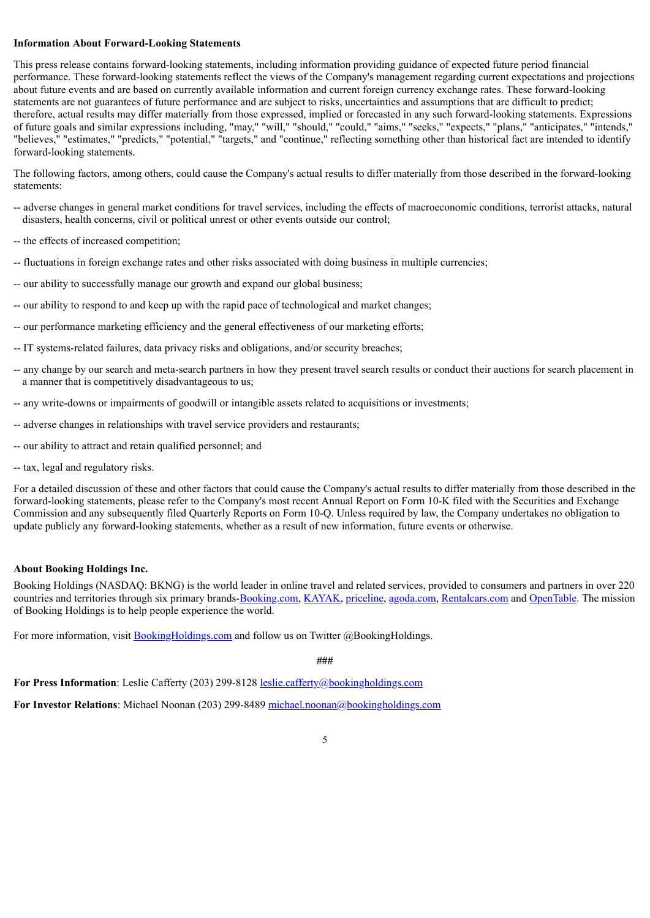## **Information About Forward-Looking Statements**

This press release contains forward-looking statements, including information providing guidance of expected future period financial performance. These forward-looking statements reflect the views of the Company's management regarding current expectations and projections about future events and are based on currently available information and current foreign currency exchange rates. These forward-looking statements are not guarantees of future performance and are subject to risks, uncertainties and assumptions that are difficult to predict; therefore, actual results may differ materially from those expressed, implied or forecasted in any such forward-looking statements. Expressions of future goals and similar expressions including, "may," "will," "should," "could," "aims," "seeks," "expects," "plans," "anticipates," "intends," "believes," "estimates," "predicts," "potential," "targets," and "continue," reflecting something other than historical fact are intended to identify forward-looking statements.

The following factors, among others, could cause the Company's actual results to differ materially from those described in the forward-looking statements:

- -- adverse changes in general market conditions for travel services, including the effects of macroeconomic conditions, terrorist attacks, natural disasters, health concerns, civil or political unrest or other events outside our control;
- -- the effects of increased competition;
- -- fluctuations in foreign exchange rates and other risks associated with doing business in multiple currencies;
- -- our ability to successfully manage our growth and expand our global business;
- -- our ability to respond to and keep up with the rapid pace of technological and market changes;
- -- our performance marketing efficiency and the general effectiveness of our marketing efforts;
- -- IT systems-related failures, data privacy risks and obligations, and/or security breaches;
- -- any change by our search and meta-search partners in how they present travel search results or conduct their auctions for search placement in a manner that is competitively disadvantageous to us;
- -- any write-downs or impairments of goodwill or intangible assets related to acquisitions or investments;
- -- adverse changes in relationships with travel service providers and restaurants;
- -- our ability to attract and retain qualified personnel; and
- -- tax, legal and regulatory risks.

For a detailed discussion of these and other factors that could cause the Company's actual results to differ materially from those described in the forward-looking statements, please refer to the Company's most recent Annual Report on Form 10-K filed with the Securities and Exchange Commission and any subsequently filed Quarterly Reports on Form 10-Q. Unless required by law, the Company undertakes no obligation to update publicly any forward-looking statements, whether as a result of new information, future events or otherwise.

#### **About Booking Holdings Inc.**

Booking Holdings (NASDAQ: BKNG) is the world leader in online travel and related services, provided to consumers and partners in over 220 countries and territories through six primary brands-Booking.com, KAYAK, priceline, agoda.com, Rentalcars.com and OpenTable. The mission of Booking Holdings is to help people experience the world.

For more information, visit **BookingHoldings.com** and follow us on Twitter @BookingHoldings.

**###**

**For Press Information**: Leslie Cafferty (203) 299-8128 leslie.cafferty@bookingholdings.com

**For Investor Relations**: Michael Noonan (203) 299-8489 michael.noonan@bookingholdings.com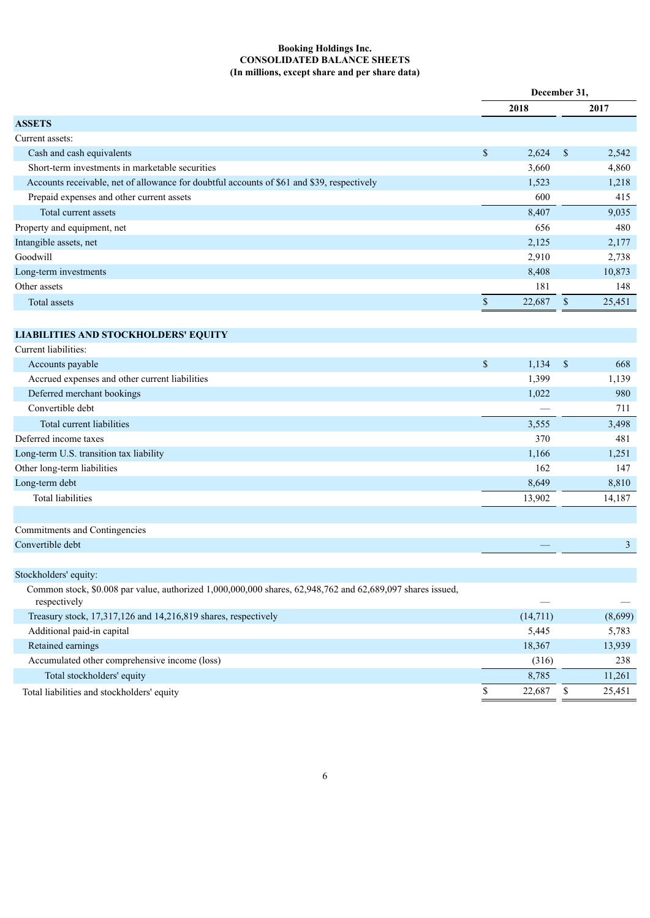#### **Booking Holdings Inc. CONSOLIDATED BALANCE SHEETS (In millions, except share and per share data)**

|                                                                                                                            |              | December 31, |                           |                |  |
|----------------------------------------------------------------------------------------------------------------------------|--------------|--------------|---------------------------|----------------|--|
|                                                                                                                            |              | 2018         |                           | 2017           |  |
| <b>ASSETS</b>                                                                                                              |              |              |                           |                |  |
| Current assets:                                                                                                            |              |              |                           |                |  |
| Cash and cash equivalents                                                                                                  | \$           | 2,624        | $\mathbb{S}$              | 2,542          |  |
| Short-term investments in marketable securities                                                                            |              | 3,660        |                           | 4,860          |  |
| Accounts receivable, net of allowance for doubtful accounts of \$61 and \$39, respectively                                 |              | 1,523        |                           | 1,218          |  |
| Prepaid expenses and other current assets                                                                                  |              | 600          |                           | 415            |  |
| Total current assets                                                                                                       |              | 8,407        |                           | 9,035          |  |
| Property and equipment, net                                                                                                |              | 656          |                           | 480            |  |
| Intangible assets, net                                                                                                     |              | 2,125        |                           | 2,177          |  |
| Goodwill                                                                                                                   |              | 2,910        |                           | 2,738          |  |
| Long-term investments                                                                                                      |              | 8,408        |                           | 10,873         |  |
| Other assets                                                                                                               |              | 181          |                           | 148            |  |
| <b>Total assets</b>                                                                                                        | $\mathbb S$  | 22,687       | $\mathbb{S}$              | 25,451         |  |
|                                                                                                                            |              |              |                           |                |  |
| <b>LIABILITIES AND STOCKHOLDERS' EQUITY</b>                                                                                |              |              |                           |                |  |
| Current liabilities:                                                                                                       |              |              |                           |                |  |
| Accounts payable                                                                                                           | \$           | 1,134        | $\boldsymbol{\mathsf{S}}$ | 668            |  |
| Accrued expenses and other current liabilities                                                                             |              | 1,399        |                           | 1,139          |  |
| Deferred merchant bookings                                                                                                 |              | 1,022        |                           | 980            |  |
| Convertible debt                                                                                                           |              |              |                           | 711            |  |
| Total current liabilities                                                                                                  |              | 3,555        |                           | 3,498          |  |
| Deferred income taxes                                                                                                      |              | 370          |                           | 481            |  |
| Long-term U.S. transition tax liability                                                                                    |              | 1,166        |                           | 1,251          |  |
| Other long-term liabilities                                                                                                |              | 162          |                           | 147            |  |
| Long-term debt                                                                                                             |              | 8,649        |                           | 8,810          |  |
| <b>Total liabilities</b>                                                                                                   |              | 13,902       |                           | 14,187         |  |
|                                                                                                                            |              |              |                           |                |  |
|                                                                                                                            |              |              |                           |                |  |
| Commitments and Contingencies                                                                                              |              |              |                           |                |  |
| Convertible debt                                                                                                           |              |              |                           | $\mathfrak{Z}$ |  |
|                                                                                                                            |              |              |                           |                |  |
| Stockholders' equity:                                                                                                      |              |              |                           |                |  |
| Common stock, \$0.008 par value, authorized 1,000,000,000 shares, 62,948,762 and 62,689,097 shares issued,<br>respectively |              |              |                           |                |  |
| Treasury stock, 17,317,126 and 14,216,819 shares, respectively                                                             |              | (14, 711)    |                           | (8,699)        |  |
| Additional paid-in capital                                                                                                 |              | 5,445        |                           | 5,783          |  |
| Retained earnings                                                                                                          |              | 18,367       |                           | 13,939         |  |
| Accumulated other comprehensive income (loss)                                                                              |              | (316)        |                           | 238            |  |
| Total stockholders' equity                                                                                                 |              | 8,785        |                           | 11,261         |  |
| Total liabilities and stockholders' equity                                                                                 | $\mathbb{S}$ | 22,687       | \$                        | 25,451         |  |
|                                                                                                                            |              |              |                           |                |  |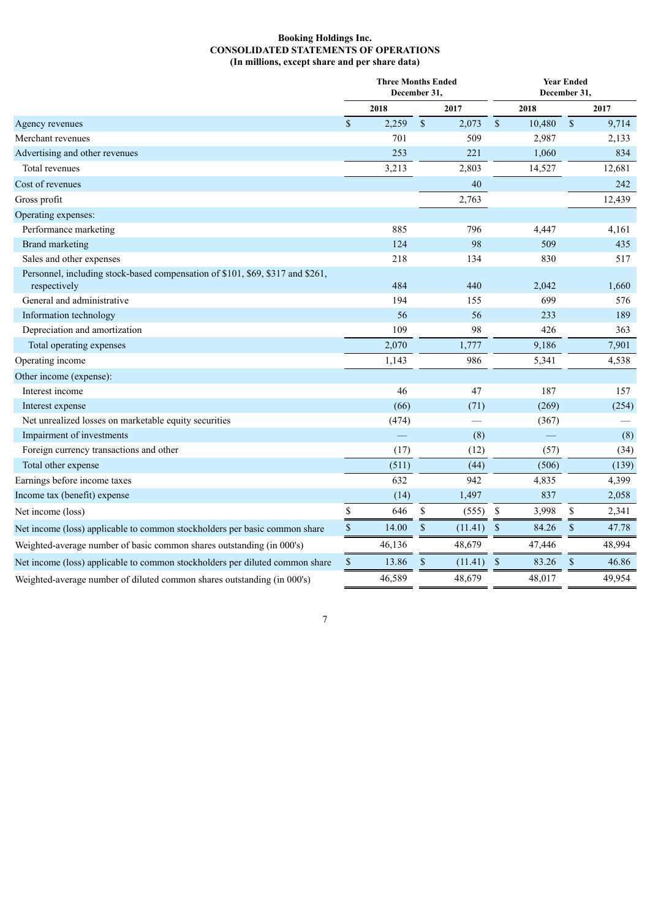### **Booking Holdings Inc. CONSOLIDATED STATEMENTS OF OPERATIONS (In millions, except share and per share data)**

|                                                                                                | <b>Three Months Ended</b><br>December 31, |        |               |         |              | <b>Year Ended</b><br>December 31, |               |        |  |  |
|------------------------------------------------------------------------------------------------|-------------------------------------------|--------|---------------|---------|--------------|-----------------------------------|---------------|--------|--|--|
|                                                                                                |                                           | 2018   |               | 2017    |              | 2018                              |               | 2017   |  |  |
| Agency revenues                                                                                | $\mathbf{\hat{S}}$                        | 2,259  | $\mathsf{\$}$ | 2,073   | $\sqrt{\ }$  | 10,480                            | $\mathsf{\$}$ | 9,714  |  |  |
| Merchant revenues                                                                              |                                           | 701    |               | 509     |              | 2,987                             |               | 2,133  |  |  |
| Advertising and other revenues                                                                 |                                           | 253    |               | 221     |              | 1,060                             |               | 834    |  |  |
| Total revenues                                                                                 |                                           | 3,213  |               | 2,803   |              | 14,527                            |               | 12,681 |  |  |
| Cost of revenues                                                                               |                                           |        |               | 40      |              |                                   |               | 242    |  |  |
| Gross profit                                                                                   |                                           |        |               | 2,763   |              |                                   |               | 12,439 |  |  |
| Operating expenses:                                                                            |                                           |        |               |         |              |                                   |               |        |  |  |
| Performance marketing                                                                          |                                           | 885    |               | 796     |              | 4,447                             |               | 4,161  |  |  |
| <b>Brand marketing</b>                                                                         |                                           | 124    |               | 98      |              | 509                               |               | 435    |  |  |
| Sales and other expenses                                                                       |                                           | 218    |               | 134     |              | 830                               |               | 517    |  |  |
| Personnel, including stock-based compensation of \$101, \$69, \$317 and \$261,<br>respectively |                                           | 484    |               | 440     |              | 2,042                             |               | 1,660  |  |  |
| General and administrative                                                                     |                                           | 194    |               | 155     |              | 699                               |               | 576    |  |  |
| Information technology                                                                         |                                           | 56     |               | 56      |              | 233                               |               | 189    |  |  |
| Depreciation and amortization                                                                  |                                           | 109    |               | 98      |              | 426                               |               | 363    |  |  |
| Total operating expenses                                                                       |                                           | 2,070  |               | 1,777   |              | 9,186                             |               | 7,901  |  |  |
| Operating income                                                                               |                                           | 1,143  |               | 986     |              | 5,341                             |               | 4,538  |  |  |
| Other income (expense):                                                                        |                                           |        |               |         |              |                                   |               |        |  |  |
| Interest income                                                                                |                                           | 46     |               | 47      |              | 187                               |               | 157    |  |  |
| Interest expense                                                                               |                                           | (66)   |               | (71)    |              | (269)                             |               | (254)  |  |  |
| Net unrealized losses on marketable equity securities                                          |                                           | (474)  |               |         |              | (367)                             |               |        |  |  |
| Impairment of investments                                                                      |                                           |        |               | (8)     |              |                                   |               | (8)    |  |  |
| Foreign currency transactions and other                                                        |                                           | (17)   |               | (12)    |              | (57)                              |               | (34)   |  |  |
| Total other expense                                                                            |                                           | (511)  |               | (44)    |              | (506)                             |               | (139)  |  |  |
| Earnings before income taxes                                                                   |                                           | 632    |               | 942     |              | 4,835                             |               | 4,399  |  |  |
| Income tax (benefit) expense                                                                   |                                           | (14)   |               | 1,497   |              | 837                               |               | 2,058  |  |  |
| Net income (loss)                                                                              | $\mathbb S$                               | 646    | \$            | (555)   | \$           | 3,998                             | $\$$          | 2,341  |  |  |
| Net income (loss) applicable to common stockholders per basic common share                     | $\mathbb S$                               | 14.00  | $\$$          | (11.41) | $\mathbb{S}$ | 84.26                             | $\$$          | 47.78  |  |  |
| Weighted-average number of basic common shares outstanding (in 000's)                          |                                           | 46,136 |               | 48,679  |              | 47,446                            |               | 48,994 |  |  |
| Net income (loss) applicable to common stockholders per diluted common share                   | $\mathbb S$                               | 13.86  | $\$$          | (11.41) | $\mathbb{S}$ | 83.26                             | $\$$          | 46.86  |  |  |
| Weighted-average number of diluted common shares outstanding (in 000's)                        |                                           | 46,589 |               | 48,679  |              | 48,017                            |               | 49,954 |  |  |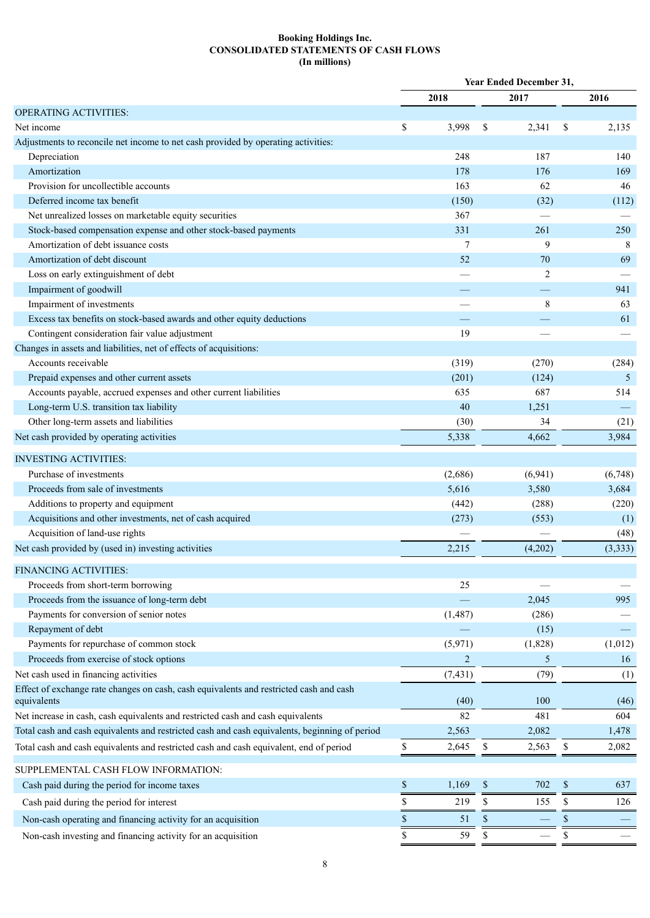### **Booking Holdings Inc. CONSOLIDATED STATEMENTS OF CASH FLOWS (In millions)**

|                                                                                               |                | Year Ended December 31, |                |      |          |  |
|-----------------------------------------------------------------------------------------------|----------------|-------------------------|----------------|------|----------|--|
|                                                                                               | 2018           |                         | 2017           |      | 2016     |  |
| <b>OPERATING ACTIVITIES:</b>                                                                  |                |                         |                |      |          |  |
| Net income                                                                                    | \$<br>3,998    | \$                      | 2,341          | \$   | 2,135    |  |
| Adjustments to reconcile net income to net cash provided by operating activities:             |                |                         |                |      |          |  |
| Depreciation                                                                                  | 248            |                         | 187            |      | 140      |  |
| Amortization                                                                                  | 178            |                         | 176            |      | 169      |  |
| Provision for uncollectible accounts                                                          | 163            |                         | 62             |      | 46       |  |
| Deferred income tax benefit                                                                   | (150)          |                         | (32)           |      | (112)    |  |
| Net unrealized losses on marketable equity securities                                         | 367            |                         |                |      |          |  |
| Stock-based compensation expense and other stock-based payments                               | 331            |                         | 261            |      | 250      |  |
| Amortization of debt issuance costs                                                           | $\overline{7}$ |                         | 9              |      | 8        |  |
| Amortization of debt discount                                                                 | 52             |                         | 70             |      | 69       |  |
| Loss on early extinguishment of debt                                                          |                |                         | $\overline{2}$ |      |          |  |
| Impairment of goodwill                                                                        |                |                         |                |      | 941      |  |
| Impairment of investments                                                                     |                |                         | 8              |      | 63       |  |
| Excess tax benefits on stock-based awards and other equity deductions                         |                |                         |                |      | 61       |  |
| Contingent consideration fair value adjustment                                                | 19             |                         |                |      |          |  |
| Changes in assets and liabilities, net of effects of acquisitions:                            |                |                         |                |      |          |  |
| Accounts receivable                                                                           | (319)          |                         | (270)          |      | (284)    |  |
| Prepaid expenses and other current assets                                                     | (201)          |                         | (124)          |      | 5        |  |
| Accounts payable, accrued expenses and other current liabilities                              | 635            |                         | 687            |      | 514      |  |
| Long-term U.S. transition tax liability                                                       | 40             |                         | 1,251          |      |          |  |
| Other long-term assets and liabilities                                                        | (30)           |                         | 34             |      | (21)     |  |
| Net cash provided by operating activities                                                     | 5,338          |                         | 4,662          |      | 3,984    |  |
| <b>INVESTING ACTIVITIES:</b>                                                                  |                |                         |                |      |          |  |
| Purchase of investments                                                                       | (2,686)        |                         | (6,941)        |      | (6,748)  |  |
| Proceeds from sale of investments                                                             | 5,616          |                         | 3,580          |      | 3,684    |  |
| Additions to property and equipment                                                           | (442)          |                         | (288)          |      | (220)    |  |
| Acquisitions and other investments, net of cash acquired                                      | (273)          |                         | (553)          |      | (1)      |  |
| Acquisition of land-use rights                                                                |                |                         |                |      | (48)     |  |
| Net cash provided by (used in) investing activities                                           | 2,215          |                         | (4,202)        |      | (3, 333) |  |
|                                                                                               |                |                         |                |      |          |  |
| FINANCING ACTIVITIES:                                                                         |                |                         |                |      |          |  |
| Proceeds from short-term borrowing                                                            | 25             |                         |                |      |          |  |
| Proceeds from the issuance of long-term debt                                                  |                |                         | 2,045          |      | 995      |  |
| Payments for conversion of senior notes                                                       | (1, 487)       |                         | (286)          |      |          |  |
| Repayment of debt                                                                             |                |                         | (15)           |      |          |  |
| Payments for repurchase of common stock                                                       | (5,971)        |                         | (1,828)        |      | (1,012)  |  |
| Proceeds from exercise of stock options                                                       | $\overline{2}$ |                         | 5              |      | 16       |  |
| Net cash used in financing activities                                                         | (7, 431)       |                         | (79)           |      | (1)      |  |
| Effect of exchange rate changes on cash, cash equivalents and restricted cash and cash        | (40)           |                         | 100            |      |          |  |
| equivalents                                                                                   | 82             |                         |                |      | (46)     |  |
| Net increase in cash, cash equivalents and restricted cash and cash equivalents               |                |                         | 481            |      | 604      |  |
| Total cash and cash equivalents and restricted cash and cash equivalents, beginning of period | 2,563          |                         | 2,082          |      | 1,478    |  |
| Total cash and cash equivalents and restricted cash and cash equivalent, end of period        | \$<br>2,645    | \$                      | 2,563          | \$   | 2,082    |  |
| SUPPLEMENTAL CASH FLOW INFORMATION:                                                           |                |                         |                |      |          |  |
| Cash paid during the period for income taxes                                                  | \$<br>1,169    | $\$$                    | 702            | $\$$ | 637      |  |
| Cash paid during the period for interest                                                      | \$<br>219      | \$                      | 155            | \$   | 126      |  |
| Non-cash operating and financing activity for an acquisition                                  | \$<br>51       | \$                      |                | \$   |          |  |
| Non-cash investing and financing activity for an acquisition                                  | \$<br>59       | \$                      |                | \$   |          |  |
|                                                                                               |                |                         |                |      |          |  |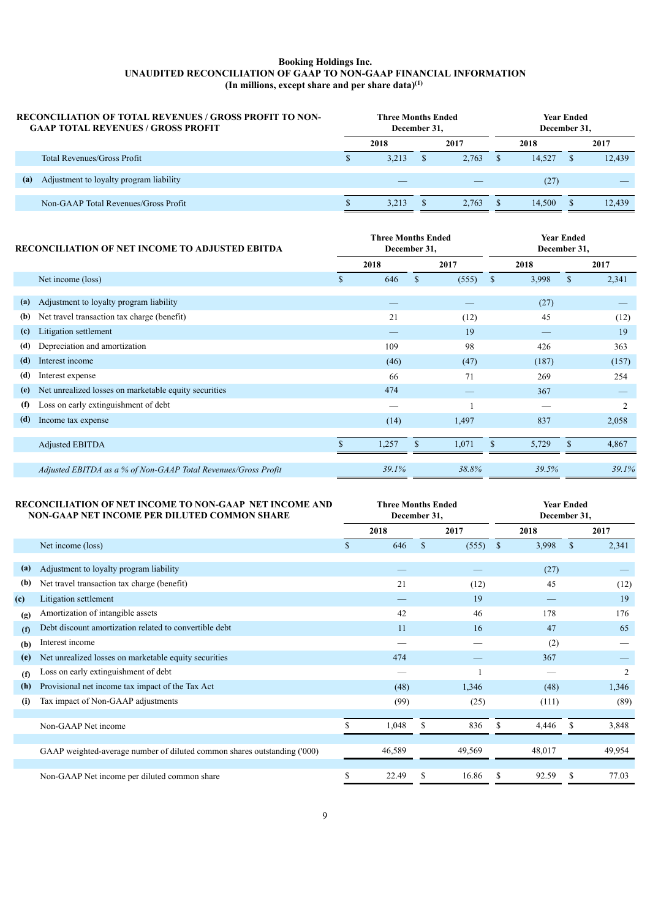#### **Booking Holdings Inc. UNAUDITED RECONCILIATION OF GAAP TO NON-GAAP FINANCIAL INFORMATION (In millions, except share and per share data) (1)**

| <b>RECONCILIATION OF TOTAL REVENUES / GROSS PROFIT TO NON-</b><br><b>GAAP TOTAL REVENUES / GROSS PROFIT</b> |   | <b>Three Months Ended</b><br>December 31. |       | Year Ended<br>December 31. |        |  |        |  |
|-------------------------------------------------------------------------------------------------------------|---|-------------------------------------------|-------|----------------------------|--------|--|--------|--|
|                                                                                                             |   | 2018                                      | 2017  |                            | 2018   |  | 2017   |  |
| <b>Total Revenues/Gross Profit</b>                                                                          | S | 3.213                                     | 2.763 |                            | 14.527 |  | 12.439 |  |
| Adjustment to loyalty program liability<br>(a)                                                              |   |                                           |       |                            | (27)   |  |        |  |
| Non-GAAP Total Revenues/Gross Profit                                                                        |   | 3,213                                     | 2.763 |                            | 14.500 |  | 12.439 |  |

|     | <b>RECONCILIATION OF NET INCOME TO ADJUSTED EBITDA</b>         |      | <b>Three Months Ended</b><br>December 31, |              |       | <b>Year Ended</b><br>December 31, |       |              |                |  |  |
|-----|----------------------------------------------------------------|------|-------------------------------------------|--------------|-------|-----------------------------------|-------|--------------|----------------|--|--|
|     |                                                                | 2018 |                                           |              | 2017  |                                   | 2018  |              | 2017           |  |  |
|     | Net income (loss)                                              | S.   | 646                                       | $\mathbb{S}$ | (555) | <sup>\$</sup>                     | 3,998 | $\mathbf S$  | 2,341          |  |  |
| (a) | Adjustment to loyalty program liability                        |      |                                           |              |       |                                   | (27)  |              |                |  |  |
| (b) | Net travel transaction tax charge (benefit)                    |      | 21                                        |              | (12)  |                                   | 45    |              | (12)           |  |  |
| (c) | Litigation settlement                                          |      |                                           |              | 19    |                                   |       |              | 19             |  |  |
| (d) | Depreciation and amortization                                  |      | 109                                       |              | 98    |                                   | 426   |              | 363            |  |  |
| (d) | Interest income                                                |      | (46)                                      |              | (47)  |                                   | (187) |              | (157)          |  |  |
| (d) | Interest expense                                               |      | 66                                        |              | 71    |                                   | 269   |              | 254            |  |  |
| (e) | Net unrealized losses on marketable equity securities          |      | 474                                       |              |       |                                   | 367   |              |                |  |  |
| (f) | Loss on early extinguishment of debt                           |      |                                           |              |       |                                   |       |              | $\overline{2}$ |  |  |
| (d) | Income tax expense                                             |      | (14)                                      |              | 1,497 |                                   | 837   |              | 2,058          |  |  |
|     |                                                                |      |                                           |              |       |                                   |       |              |                |  |  |
|     | Adjusted EBITDA                                                |      | 1,257                                     | $\mathbf{s}$ | 1,071 | \$                                | 5,729 | $\mathbf{s}$ | 4,867          |  |  |
|     | Adjusted EBITDA as a % of Non-GAAP Total Revenues/Gross Profit |      | 39.1%                                     |              | 38.8% |                                   | 39.5% |              | 39.1%          |  |  |

|     | RECONCILIATION OF NET INCOME TO NON-GAAP NET INCOME AND<br>NON-GAAP NET INCOME PER DILUTED COMMON SHARE |               | <b>Three Months Ended</b><br>December 31, |              |        | <b>Year Ended</b><br>December 31, |        |              |        |  |
|-----|---------------------------------------------------------------------------------------------------------|---------------|-------------------------------------------|--------------|--------|-----------------------------------|--------|--------------|--------|--|
|     |                                                                                                         |               | 2018                                      | 2017         |        |                                   | 2018   |              | 2017   |  |
|     | Net income (loss)                                                                                       | <sup>\$</sup> | 646                                       | $\mathbb{S}$ | (555)  | $\mathbf S$                       | 3,998  | <sup>S</sup> | 2,341  |  |
| (a) | Adjustment to loyalty program liability                                                                 |               |                                           |              |        |                                   | (27)   |              |        |  |
| (b) | Net travel transaction tax charge (benefit)                                                             |               | 21                                        |              | (12)   |                                   | 45     |              | (12)   |  |
| (c) | Litigation settlement                                                                                   |               |                                           |              | 19     |                                   |        |              | 19     |  |
| (g) | Amortization of intangible assets                                                                       |               | 42                                        |              | 46     |                                   | 178    |              | 176    |  |
| (f) | Debt discount amortization related to convertible debt                                                  |               | 11                                        |              | 16     |                                   | 47     |              | 65     |  |
| (b) | Interest income                                                                                         |               |                                           |              |        |                                   | (2)    |              |        |  |
| (e) | Net unrealized losses on marketable equity securities                                                   |               | 474                                       |              |        |                                   | 367    |              |        |  |
| (f) | Loss on early extinguishment of debt                                                                    |               |                                           |              |        |                                   |        |              | 2      |  |
| (h) | Provisional net income tax impact of the Tax Act                                                        |               | (48)                                      |              | 1,346  |                                   | (48)   |              | 1,346  |  |
| (i) | Tax impact of Non-GAAP adjustments                                                                      |               | (99)                                      |              | (25)   |                                   | (111)  |              | (89)   |  |
|     | Non-GAAP Net income                                                                                     |               | 1,048                                     | \$           | 836    | S                                 | 4,446  | S            | 3,848  |  |
|     | GAAP weighted-average number of diluted common shares outstanding ('000)                                |               | 46,589                                    |              | 49,569 |                                   | 48,017 |              | 49,954 |  |
|     | Non-GAAP Net income per diluted common share                                                            | \$            | 22.49                                     | S            | 16.86  | \$                                | 92.59  | S            | 77.03  |  |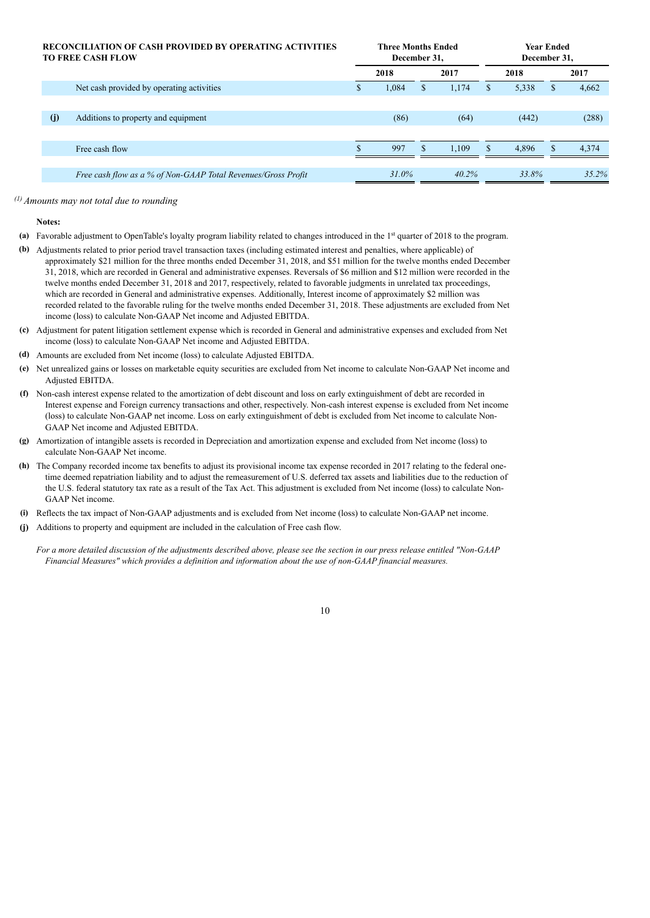| <b>RECONCILIATION OF CASH PROVIDED BY OPERATING ACTIVITIES</b><br><b>TO FREE CASH FLOW</b> |    | <b>Three Months Ended</b><br>December 31. |    | <b>Year Ended</b><br>December 31. |    |       |          |       |
|--------------------------------------------------------------------------------------------|----|-------------------------------------------|----|-----------------------------------|----|-------|----------|-------|
|                                                                                            |    | 2018                                      |    | 2017                              |    | 2018  | 2017     |       |
| Net cash provided by operating activities                                                  | D. | 1.084                                     | \$ | 1.174                             |    | 5,338 | S        | 4,662 |
|                                                                                            |    |                                           |    |                                   |    |       |          |       |
| (j)<br>Additions to property and equipment                                                 |    | (86)                                      |    | (64)                              |    | (442) |          | (288) |
|                                                                                            |    |                                           |    |                                   |    |       |          |       |
| Free cash flow                                                                             |    | 997                                       | \$ | 1.109                             | S. | 4.896 | <b>S</b> | 4.374 |
|                                                                                            |    |                                           |    |                                   |    |       |          |       |
| Free cash flow as a % of Non-GAAP Total Revenues/Gross Profit                              |    | $31.0\%$                                  |    | $40.2\%$                          |    | 33.8% |          | 35.2% |

#### *(1) Amounts may not total due to rounding*

#### **Notes:**

- **(a)** Favorable adjustment to OpenTable's loyalty program liability related to changes introduced in the 1st quarter of 2018 to the program.
- **(b)** Adjustments related to prior period travel transaction taxes (including estimated interest and penalties, where applicable) of approximately \$21 million for the three months ended December 31, 2018, and \$51 million for the twelve months ended December 31, 2018, which are recorded in General and administrative expenses. Reversals of \$6 million and \$12 million were recorded in the twelve months ended December 31, 2018 and 2017, respectively, related to favorable judgments in unrelated tax proceedings, which are recorded in General and administrative expenses. Additionally, Interest income of approximately \$2 million was recorded related to the favorable ruling for the twelve months ended December 31, 2018. These adjustments are excluded from Net income (loss) to calculate Non-GAAP Net income and Adjusted EBITDA.
- **(c)** Adjustment for patent litigation settlement expense which is recorded in General and administrative expenses and excluded from Net income (loss) to calculate Non-GAAP Net income and Adjusted EBITDA.
- **(d)** Amounts are excluded from Net income (loss) to calculate Adjusted EBITDA.
- **(e)** Net unrealized gains or losses on marketable equity securities are excluded from Net income to calculate Non-GAAP Net income and Adjusted EBITDA.
- **(f)** Non-cash interest expense related to the amortization of debt discount and loss on early extinguishment of debt are recorded in Interest expense and Foreign currency transactions and other, respectively. Non-cash interest expense is excluded from Net income (loss) to calculate Non-GAAP net income. Loss on early extinguishment of debt is excluded from Net income to calculate Non-GAAP Net income and Adjusted EBITDA.
- **(g)** Amortization of intangible assets is recorded in Depreciation and amortization expense and excluded from Net income (loss) to calculate Non-GAAP Net income.
- **(h)** The Company recorded income tax benefits to adjust its provisional income tax expense recorded in 2017 relating to the federal onetime deemed repatriation liability and to adjust the remeasurement of U.S. deferred tax assets and liabilities due to the reduction of the U.S. federal statutory tax rate as a result of the Tax Act. This adjustment is excluded from Net income (loss) to calculate Non-GAAP Net income.
- **(i)** Reflects the tax impact of Non-GAAP adjustments and is excluded from Net income (loss) to calculate Non-GAAP net income.
- **(j)** Additions to property and equipment are included in the calculation of Free cash flow.

*For a more detailed discussion of the adjustments described above, please see the section in our press release entitled "Non-GAAP Financial Measures" which provides a definition and information about the use of non-GAAP financial measures.*